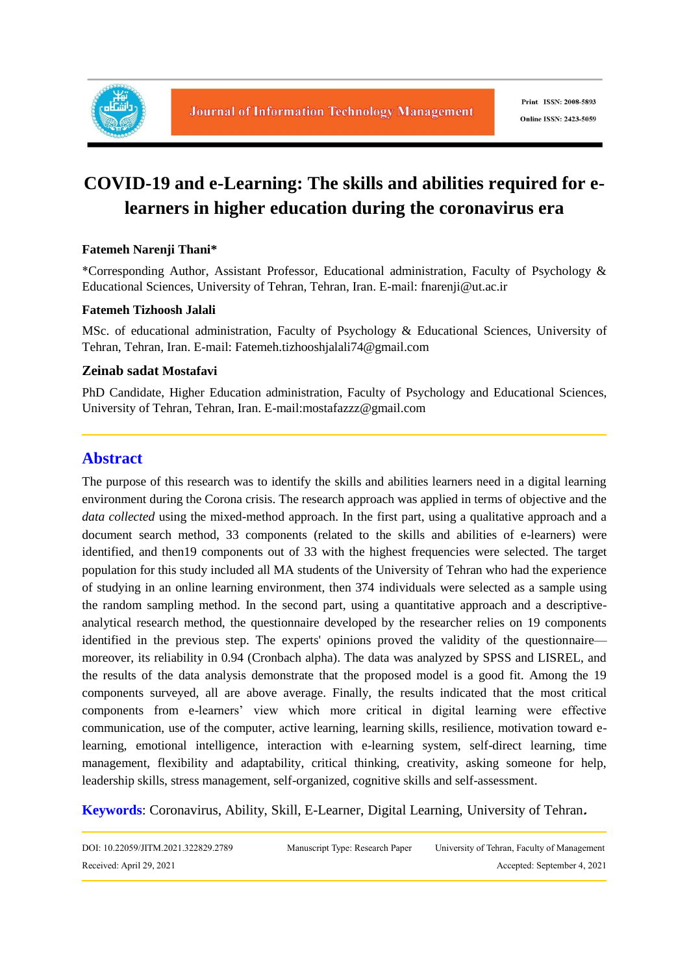

# **COVID-19 and e-Learning: The skills and abilities required for elearners in higher education during the coronavirus era**

#### **Fatemeh Narenji Thani\***

\*Corresponding Author, Assistant Professor, Educational administration, Faculty of Psychology & Educational Sciences, University of Tehran, Tehran, Iran. E-mail: fnarenji@ut.ac.ir

#### **Fatemeh Tizhoosh Jalali**

MSc. of educational administration, Faculty of Psychology & Educational Sciences, University of Tehran, Tehran, Iran. E-mail: Fatemeh.tizhooshjalali74@gmail.com

#### **Zeinab sadat Mostafavi**

PhD Candidate, Higher Education administration, Faculty of Psychology and Educational Sciences, University of Tehran, Tehran, Iran. E-mail:mostafazzz@gmail.com

## **Abstract**

The purpose of this research was to identify the skills and abilities learners need in a digital learning environment during the Corona crisis. The research approach was applied in terms of objective and the *data collected* using the mixed-method approach. In the first part, using a qualitative approach and a document search method, 33 components (related to the skills and abilities of e-learners) were identified, and then19 components out of 33 with the highest frequencies were selected. The target population for this study included all MA students of the University of Tehran who had the experience of studying in an online learning environment, then 374 individuals were selected as a sample using the random sampling method. In the second part, using a quantitative approach and a descriptiveanalytical research method, the questionnaire developed by the researcher relies on 19 components identified in the previous step. The experts' opinions proved the validity of the questionnaire moreover, its reliability in 0.94 (Cronbach alpha). The data was analyzed by SPSS and LISREL, and the results of the data analysis demonstrate that the proposed model is a good fit. Among the 19 components surveyed, all are above average. Finally, the results indicated that the most critical components from e-learners' view which more critical in digital learning were effective communication, use of the computer, active learning, learning skills, resilience, motivation toward elearning, emotional intelligence, interaction with e-learning system, self-direct learning, time management, flexibility and adaptability, critical thinking, creativity, asking someone for help, leadership skills, stress management, self-organized, cognitive skills and self-assessment.

**Keywords**: Coronavirus, Ability, Skill, E-Learner, Digital Learning, University of Tehran**.**

| DOI: 10.22059/JITM.2021.322829.2789 | Manuscript Type: Research Paper | University of Tehran, Faculty of Management |
|-------------------------------------|---------------------------------|---------------------------------------------|
| Received: April 29, 2021            |                                 | Accepted: September 4, 2021                 |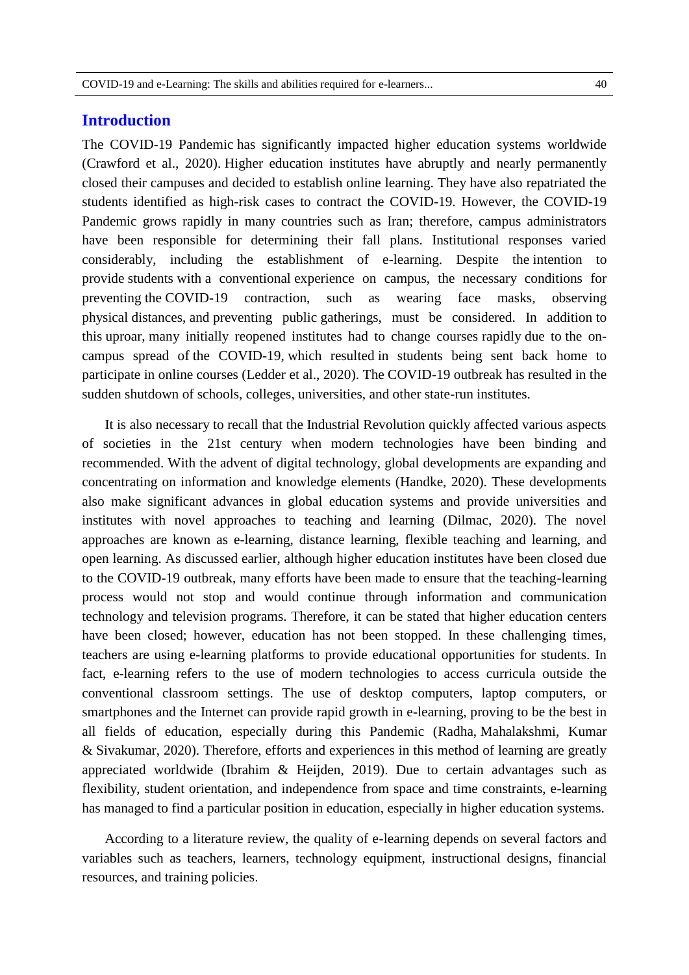#### **Introduction**

The COVID-19 Pandemic has significantly impacted higher education systems worldwide (Crawford et al., 2020). Higher education institutes have abruptly and nearly permanently closed their campuses and decided to establish online learning. They have also repatriated the students identified as high-risk cases to contract the COVID-19. However, the COVID-19 Pandemic grows rapidly in many countries such as Iran; therefore, campus administrators have been responsible for determining their fall plans. Institutional responses varied considerably, including the establishment of e-learning. Despite the intention to provide students with a conventional experience on campus, the necessary conditions for preventing the COVID-19 contraction, such as wearing face masks, observing physical distances, and preventing public gatherings, must be considered. In addition to this uproar, many initially reopened institutes had to change courses rapidly due to the oncampus spread of the COVID-19, which resulted in students being sent back home to participate in online courses (Ledder et al., 2020). The COVID-19 outbreak has resulted in the sudden shutdown of schools, colleges, universities, and other state-run institutes.

It is also necessary to recall that the Industrial Revolution quickly affected various aspects of societies in the 21st century when modern technologies have been binding and recommended. With the advent of digital technology, global developments are expanding and concentrating on information and knowledge elements (Handke, 2020). These developments also make significant advances in global education systems and provide universities and institutes with novel approaches to teaching and learning (Dilmac, 2020). The novel approaches are known as e-learning, distance learning, flexible teaching and learning, and open learning. As discussed earlier, although higher education institutes have been closed due to the COVID-19 outbreak, many efforts have been made to ensure that the teaching-learning process would not stop and would continue through information and communication technology and television programs. Therefore, it can be stated that higher education centers have been closed; however, education has not been stopped. In these challenging times, teachers are using e-learning platforms to provide educational opportunities for students. In fact, e-learning refers to the use of modern technologies to access curricula outside the conventional classroom settings. The use of desktop computers, laptop computers, or smartphones and the Internet can provide rapid growth in e-learning, proving to be the best in all fields of education, especially during this Pandemic (Radha, Mahalakshmi, Kumar & Sivakumar, 2020). Therefore, efforts and experiences in this method of learning are greatly appreciated worldwide (Ibrahim & Heijden, 2019). Due to certain advantages such as flexibility, student orientation, and independence from space and time constraints, e-learning has managed to find a particular position in education, especially in higher education systems.

According to a literature review, the quality of e-learning depends on several factors and variables such as teachers, learners, technology equipment, instructional designs, financial resources, and training policies.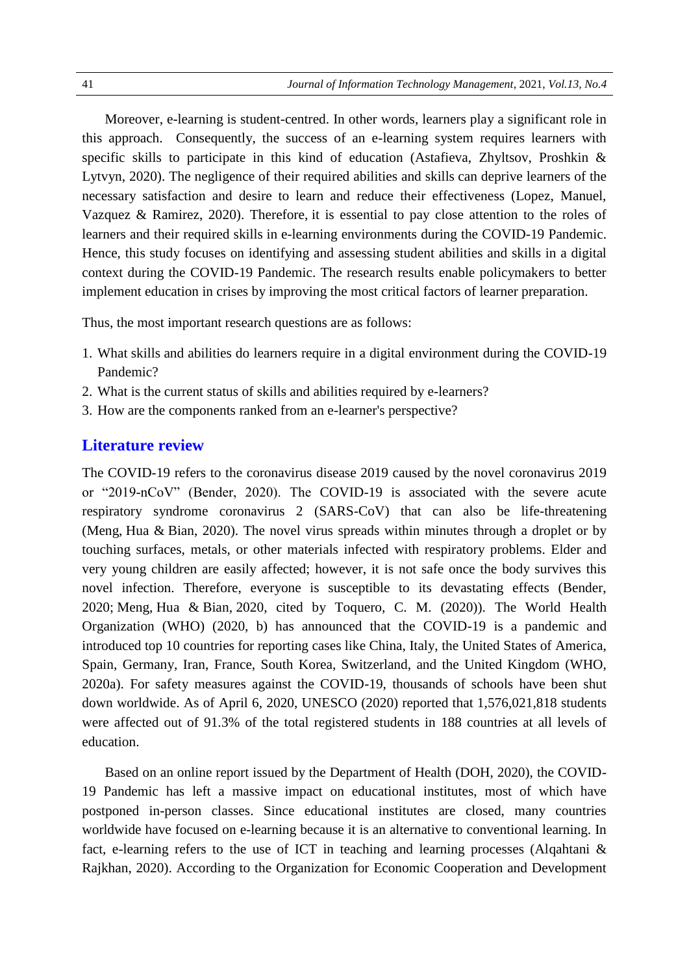Moreover, e-learning is student-centred. In other words, learners play a significant role in this approach. Consequently, the success of an e-learning system requires learners with specific skills to participate in this kind of education (Astafieva, Zhyltsov, Proshkin & Lytvyn, 2020). The negligence of their required abilities and skills can deprive learners of the necessary satisfaction and desire to learn and reduce their effectiveness (Lopez, Manuel, Vazquez & Ramirez, 2020). Therefore, it is essential to pay close attention to the roles of learners and their required skills in e-learning environments during the COVID-19 Pandemic. Hence, this study focuses on identifying and assessing student abilities and skills in a digital context during the COVID-19 Pandemic. The research results enable policymakers to better implement education in crises by improving the most critical factors of learner preparation.

Thus, the most important research questions are as follows:

- 1. What skills and abilities do learners require in a digital environment during the COVID-19 Pandemic?
- 2. What is the current status of skills and abilities required by e-learners?
- 3. How are the components ranked from an e-learner's perspective?

#### **Literature review**

The COVID-19 refers to the coronavirus disease 2019 caused by the novel coronavirus 2019 or "2019-nCoV" (Bender, 2020). The COVID-19 is associated with the severe acute respiratory syndrome coronavirus 2 (SARS-CoV) that can also be life-threatening (Meng, Hua & Bian, 2020). The novel virus spreads within minutes through a droplet or by touching surfaces, metals, or other materials infected with respiratory problems. Elder and very young children are easily affected; however, it is not safe once the body survives this novel infection. Therefore, everyone is susceptible to its devastating effects (Bender, 2020; Meng, Hua & Bian, 2020, cited by Toquero, C. M. (2020)). The World Health Organization (WHO) (2020, b) has announced that the COVID-19 is a pandemic and introduced top 10 countries for reporting cases like China, Italy, the United States of America, Spain, Germany, Iran, France, South Korea, Switzerland, and the United Kingdom (WHO, 2020a). For safety measures against the COVID-19, thousands of schools have been shut down worldwide. As of April 6, 2020, UNESCO (2020) reported that 1,576,021,818 students were affected out of 91.3% of the total registered students in 188 countries at all levels of education.

Based on an online report issued by the Department of Health (DOH, 2020), the COVID-19 Pandemic has left a massive impact on educational institutes, most of which have postponed in-person classes. Since educational institutes are closed, many countries worldwide have focused on e-learning because it is an alternative to conventional learning. In fact, e-learning refers to the use of ICT in teaching and learning processes (Alqahtani & Rajkhan, 2020). According to the Organization for Economic Cooperation and Development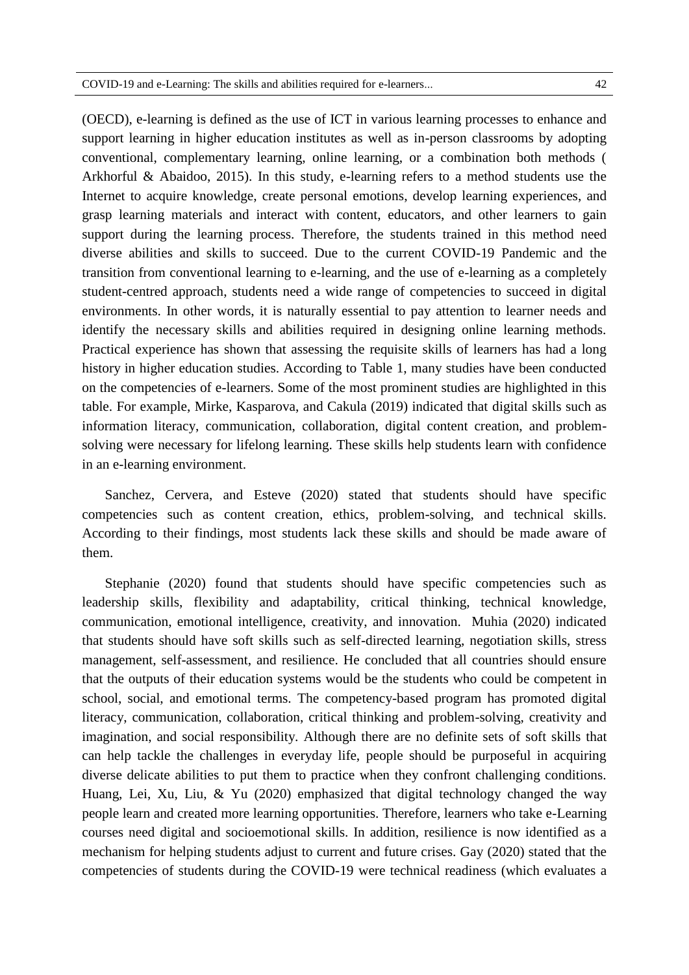(OECD), e-learning is defined as the use of ICT in various learning processes to enhance and support learning in higher education institutes as well as in-person classrooms by adopting conventional, complementary learning, online learning, or a combination both methods ( Arkhorful & Abaidoo, 2015). In this study, e-learning refers to a method students use the Internet to acquire knowledge, create personal emotions, develop learning experiences, and grasp learning materials and interact with content, educators, and other learners to gain support during the learning process. Therefore, the students trained in this method need diverse abilities and skills to succeed. Due to the current COVID-19 Pandemic and the transition from conventional learning to e-learning, and the use of e-learning as a completely student-centred approach, students need a wide range of competencies to succeed in digital environments. In other words, it is naturally essential to pay attention to learner needs and identify the necessary skills and abilities required in designing online learning methods. Practical experience has shown that assessing the requisite skills of learners has had a long history in higher education studies. According to Table 1, many studies have been conducted on the competencies of e-learners. Some of the most prominent studies are highlighted in this table. For example, Mirke, Kasparova, and Cakula (2019) indicated that digital skills such as information literacy, communication, collaboration, digital content creation, and problemsolving were necessary for lifelong learning. These skills help students learn with confidence in an e-learning environment.

Sanchez, Cervera, and Esteve (2020) stated that students should have specific competencies such as content creation, ethics, problem-solving, and technical skills. According to their findings, most students lack these skills and should be made aware of them.

Stephanie (2020) found that students should have specific competencies such as leadership skills, flexibility and adaptability, critical thinking, technical knowledge, communication, emotional intelligence, creativity, and innovation. Muhia (2020) indicated that students should have soft skills such as self-directed learning, negotiation skills, stress management, self-assessment, and resilience. He concluded that all countries should ensure that the outputs of their education systems would be the students who could be competent in school, social, and emotional terms. The competency-based program has promoted digital literacy, communication, collaboration, critical thinking and problem-solving, creativity and imagination, and social responsibility. Although there are no definite sets of soft skills that can help tackle the challenges in everyday life, people should be purposeful in acquiring diverse delicate abilities to put them to practice when they confront challenging conditions. Huang, Lei, Xu, Liu, & Yu (2020) emphasized that digital technology changed the way people learn and created more learning opportunities. Therefore, learners who take e-Learning courses need digital and socioemotional skills. In addition, resilience is now identified as a mechanism for helping students adjust to current and future crises. Gay (2020) stated that the competencies of students during the COVID-19 were technical readiness (which evaluates a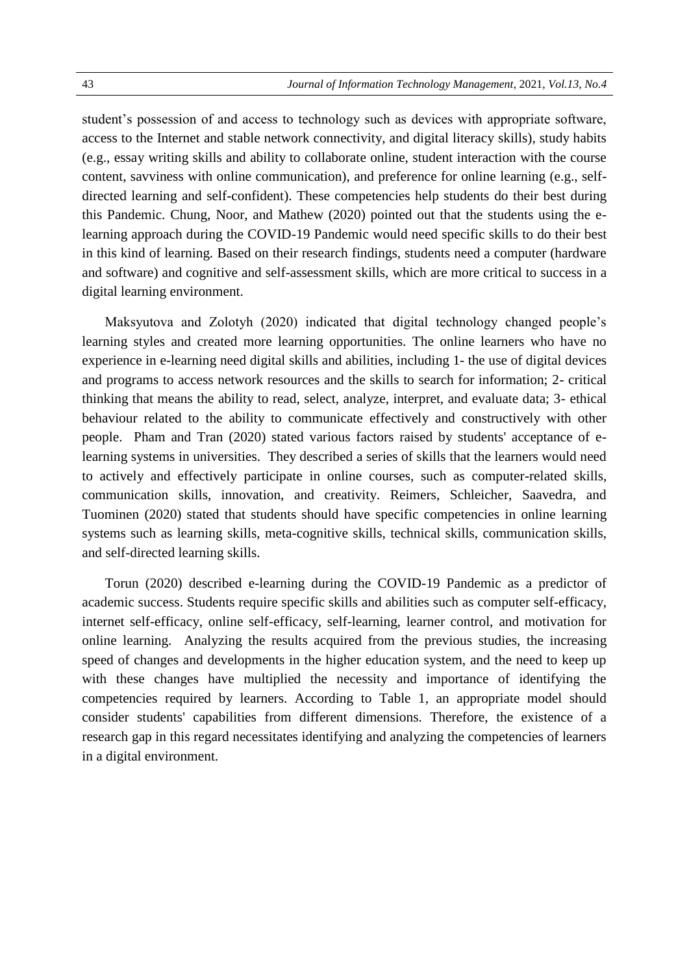student's possession of and access to technology such as devices with appropriate software, access to the Internet and stable network connectivity, and digital literacy skills), study habits (e.g., essay writing skills and ability to collaborate online, student interaction with the course content, savviness with online communication), and preference for online learning (e.g., selfdirected learning and self-confident). These competencies help students do their best during this Pandemic. Chung, Noor, and Mathew (2020) pointed out that the students using the elearning approach during the COVID-19 Pandemic would need specific skills to do their best in this kind of learning. Based on their research findings, students need a computer (hardware and software) and cognitive and self-assessment skills, which are more critical to success in a digital learning environment.

Maksyutova and Zolotyh (2020) indicated that digital technology changed people's learning styles and created more learning opportunities. The online learners who have no experience in e-learning need digital skills and abilities, including 1- the use of digital devices and programs to access network resources and the skills to search for information; 2- critical thinking that means the ability to read, select, analyze, interpret, and evaluate data; 3- ethical behaviour related to the ability to communicate effectively and constructively with other people. Pham and Tran (2020) stated various factors raised by students' acceptance of elearning systems in universities. They described a series of skills that the learners would need to actively and effectively participate in online courses, such as computer-related skills, communication skills, innovation, and creativity. Reimers, Schleicher, Saavedra, and Tuominen (2020) stated that students should have specific competencies in online learning systems such as learning skills, meta-cognitive skills, technical skills, communication skills, and self-directed learning skills.

Torun (2020) described e-learning during the COVID-19 Pandemic as a predictor of academic success. Students require specific skills and abilities such as computer self-efficacy, internet self-efficacy, online self-efficacy, self-learning, learner control, and motivation for online learning. Analyzing the results acquired from the previous studies, the increasing speed of changes and developments in the higher education system, and the need to keep up with these changes have multiplied the necessity and importance of identifying the competencies required by learners. According to Table 1, an appropriate model should consider students' capabilities from different dimensions. Therefore, the existence of a research gap in this regard necessitates identifying and analyzing the competencies of learners in a digital environment.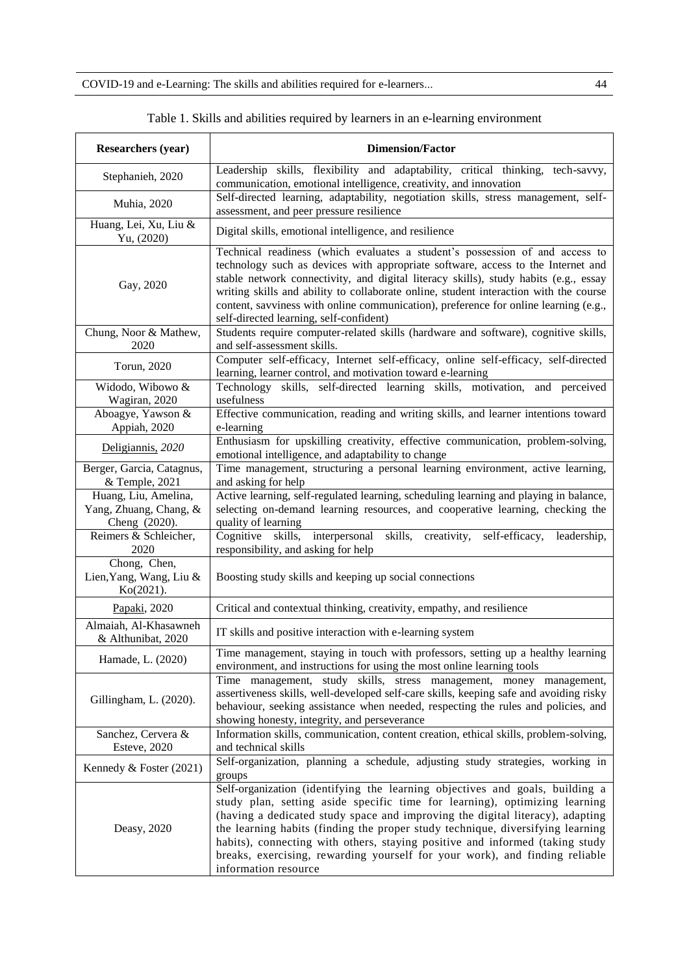COVID-19 and e-Learning: The skills and abilities required for e-learners... 44

| <b>Researchers (year)</b>                                           | <b>Dimension/Factor</b>                                                                                                                                                                                                                                                                                                                                                                                                                                                                                              |
|---------------------------------------------------------------------|----------------------------------------------------------------------------------------------------------------------------------------------------------------------------------------------------------------------------------------------------------------------------------------------------------------------------------------------------------------------------------------------------------------------------------------------------------------------------------------------------------------------|
| Stephanieh, 2020                                                    | Leadership skills, flexibility and adaptability, critical thinking, tech-savvy,<br>communication, emotional intelligence, creativity, and innovation                                                                                                                                                                                                                                                                                                                                                                 |
| Muhia, 2020                                                         | Self-directed learning, adaptability, negotiation skills, stress management, self-<br>assessment, and peer pressure resilience                                                                                                                                                                                                                                                                                                                                                                                       |
| Huang, Lei, Xu, Liu &<br>Yu, (2020)                                 | Digital skills, emotional intelligence, and resilience                                                                                                                                                                                                                                                                                                                                                                                                                                                               |
| Gay, 2020                                                           | Technical readiness (which evaluates a student's possession of and access to<br>technology such as devices with appropriate software, access to the Internet and<br>stable network connectivity, and digital literacy skills), study habits (e.g., essay<br>writing skills and ability to collaborate online, student interaction with the course<br>content, savviness with online communication), preference for online learning (e.g.,<br>self-directed learning, self-confident)                                 |
| Chung, Noor & Mathew,<br>2020                                       | Students require computer-related skills (hardware and software), cognitive skills,<br>and self-assessment skills.                                                                                                                                                                                                                                                                                                                                                                                                   |
| Torun, 2020                                                         | Computer self-efficacy, Internet self-efficacy, online self-efficacy, self-directed<br>learning, learner control, and motivation toward e-learning                                                                                                                                                                                                                                                                                                                                                                   |
| Widodo, Wibowo &<br>Wagiran, 2020                                   | Technology skills, self-directed learning skills, motivation, and perceived<br>usefulness                                                                                                                                                                                                                                                                                                                                                                                                                            |
| Aboagye, Yawson &<br>Appiah, 2020                                   | Effective communication, reading and writing skills, and learner intentions toward<br>e-learning                                                                                                                                                                                                                                                                                                                                                                                                                     |
| Deligiannis, 2020                                                   | Enthusiasm for upskilling creativity, effective communication, problem-solving,<br>emotional intelligence, and adaptability to change                                                                                                                                                                                                                                                                                                                                                                                |
| Berger, Garcia, Catagnus,<br>& Temple, 2021<br>Huang, Liu, Amelina, | Time management, structuring a personal learning environment, active learning,<br>and asking for help<br>Active learning, self-regulated learning, scheduling learning and playing in balance,                                                                                                                                                                                                                                                                                                                       |
| Yang, Zhuang, Chang, &<br>Cheng (2020).                             | selecting on-demand learning resources, and cooperative learning, checking the<br>quality of learning                                                                                                                                                                                                                                                                                                                                                                                                                |
| Reimers & Schleicher,<br>2020                                       | Cognitive skills, interpersonal skills, creativity,<br>self-efficacy,<br>leadership,<br>responsibility, and asking for help                                                                                                                                                                                                                                                                                                                                                                                          |
| Chong, Chen,<br>Lien, Yang, Wang, Liu &<br>Ko(2021).                | Boosting study skills and keeping up social connections                                                                                                                                                                                                                                                                                                                                                                                                                                                              |
| Papaki, 2020                                                        | Critical and contextual thinking, creativity, empathy, and resilience                                                                                                                                                                                                                                                                                                                                                                                                                                                |
| Almaiah, Al-Khasawneh<br>& Althunibat, 2020                         | IT skills and positive interaction with e-learning system                                                                                                                                                                                                                                                                                                                                                                                                                                                            |
| Hamade, L. (2020)                                                   | Time management, staying in touch with professors, setting up a healthy learning<br>environment, and instructions for using the most online learning tools                                                                                                                                                                                                                                                                                                                                                           |
| Gillingham, L. (2020).                                              | Time management, study skills, stress management, money management,<br>assertiveness skills, well-developed self-care skills, keeping safe and avoiding risky<br>behaviour, seeking assistance when needed, respecting the rules and policies, and<br>showing honesty, integrity, and perseverance                                                                                                                                                                                                                   |
| Sanchez, Cervera &<br><b>Esteve, 2020</b>                           | Information skills, communication, content creation, ethical skills, problem-solving,<br>and technical skills                                                                                                                                                                                                                                                                                                                                                                                                        |
| Kennedy & Foster $(2021)$                                           | Self-organization, planning a schedule, adjusting study strategies, working in<br>groups                                                                                                                                                                                                                                                                                                                                                                                                                             |
| Deasy, 2020                                                         | Self-organization (identifying the learning objectives and goals, building a<br>study plan, setting aside specific time for learning), optimizing learning<br>(having a dedicated study space and improving the digital literacy), adapting<br>the learning habits (finding the proper study technique, diversifying learning<br>habits), connecting with others, staying positive and informed (taking study<br>breaks, exercising, rewarding yourself for your work), and finding reliable<br>information resource |

Table 1. Skills and abilities required by learners in an e-learning environment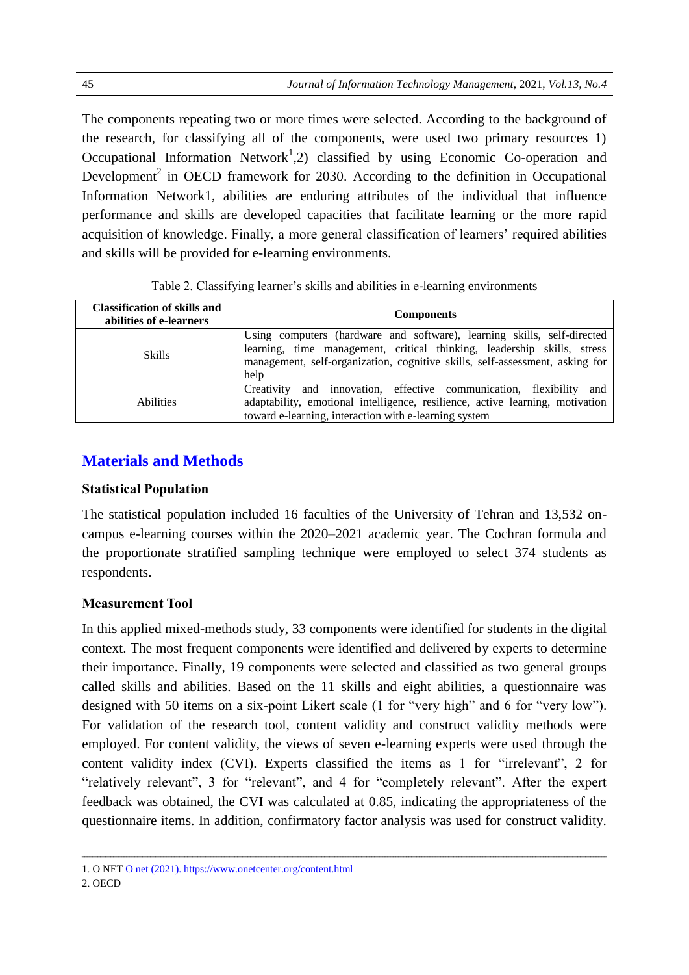The components repeating two or more times were selected. According to the background of the research, for classifying all of the components, were used two primary resources 1) Occupational Information Network<sup>1</sup>,2) classified by using Economic Co-operation and Development<sup>2</sup> in OECD framework for 2030. According to the definition in Occupational Information Network1, abilities are enduring attributes of the individual that influence performance and skills are developed capacities that facilitate learning or the more rapid acquisition of knowledge. Finally, a more general classification of learners' required abilities and skills will be provided for e-learning environments.

| <b>Classification of skills and</b><br>abilities of e-learners | <b>Components</b>                                                                                                                                                                                                                          |
|----------------------------------------------------------------|--------------------------------------------------------------------------------------------------------------------------------------------------------------------------------------------------------------------------------------------|
| <b>Skills</b>                                                  | Using computers (hardware and software), learning skills, self-directed<br>learning, time management, critical thinking, leadership skills, stress<br>management, self-organization, cognitive skills, self-assessment, asking for<br>help |
| <b>Abilities</b>                                               | and innovation, effective communication, flexibility and<br>Creativity<br>adaptability, emotional intelligence, resilience, active learning, motivation<br>toward e-learning, interaction with e-learning system                           |

|  |  | Table 2. Classifying learner's skills and abilities in e-learning environments |
|--|--|--------------------------------------------------------------------------------|
|--|--|--------------------------------------------------------------------------------|

## **Materials and Methods**

#### **Statistical Population**

The statistical population included 16 faculties of the University of Tehran and 13,532 oncampus e-learning courses within the 2020–2021 academic year. The Cochran formula and the proportionate stratified sampling technique were employed to select 374 students as respondents.

#### **Measurement Tool**

In this applied mixed-methods study, 33 components were identified for students in the digital context. The most frequent components were identified and delivered by experts to determine their importance. Finally, 19 components were selected and classified as two general groups called skills and abilities. Based on the 11 skills and eight abilities, a questionnaire was designed with 50 items on a six-point Likert scale (1 for "very high" and 6 for "very low"). For validation of the research tool, content validity and construct validity methods were employed. For content validity, the views of seven e-learning experts were used through the content validity index (CVI). Experts classified the items as 1 for "irrelevant", 2 for "relatively relevant", 3 for "relevant", and 4 for "completely relevant". After the expert feedback was obtained, the CVI was calculated at 0.85, indicating the appropriateness of the questionnaire items. In addition, confirmatory factor analysis was used for construct validity.

ـــــــــــــــــــــــــــــــــــــــــــــــــــــــــــــــــــــــــــــــــــــــــــــــــــــــــــــــــــــــــــــــــــــــــــــــــــــــــــــــــــــــــــــــــــــــــــــــــــــــ

<sup>1.</sup> O NET O net (2021). https://www.onetcenter.org/content.html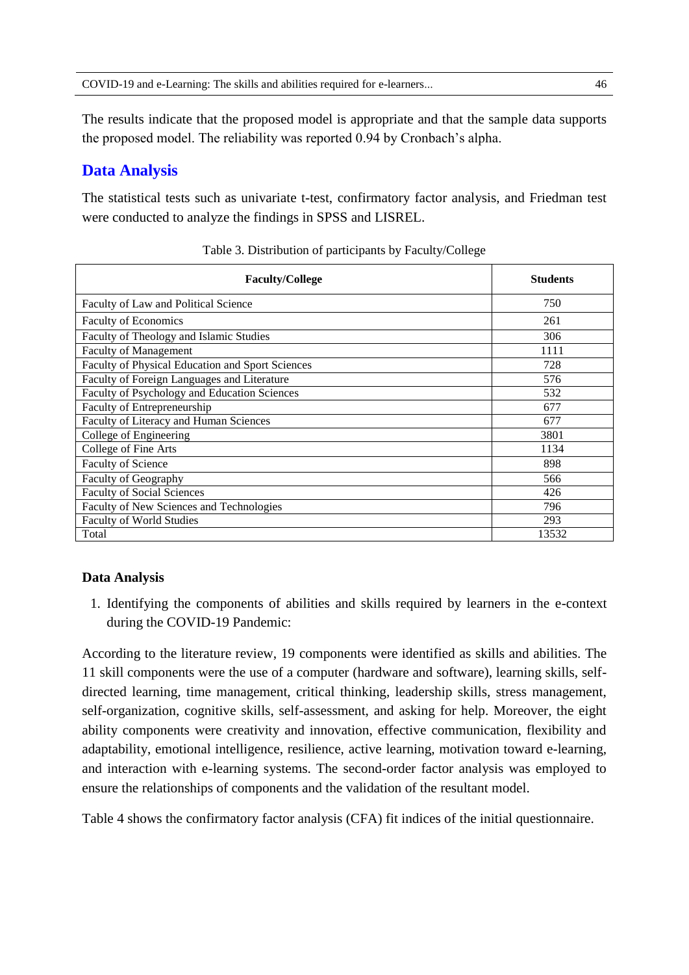The results indicate that the proposed model is appropriate and that the sample data supports the proposed model. The reliability was reported 0.94 by Cronbach's alpha.

## **Data Analysis**

The statistical tests such as univariate t-test, confirmatory factor analysis, and Friedman test were conducted to analyze the findings in SPSS and LISREL.

| <b>Faculty/College</b>                           | <b>Students</b> |
|--------------------------------------------------|-----------------|
| Faculty of Law and Political Science             | 750             |
| <b>Faculty of Economics</b>                      | 261             |
| Faculty of Theology and Islamic Studies          | 306             |
| <b>Faculty of Management</b>                     | 1111            |
| Faculty of Physical Education and Sport Sciences | 728             |
| Faculty of Foreign Languages and Literature      | 576             |
| Faculty of Psychology and Education Sciences     | 532             |
| Faculty of Entrepreneurship                      | 677             |
| Faculty of Literacy and Human Sciences           | 677             |
| College of Engineering                           | 3801            |
| College of Fine Arts                             | 1134            |
| Faculty of Science                               | 898             |
| Faculty of Geography                             | 566             |
| <b>Faculty of Social Sciences</b>                | 426             |
| Faculty of New Sciences and Technologies         | 796             |
| <b>Faculty of World Studies</b>                  | 293             |
| Total                                            | 13532           |

Table 3. Distribution of participants by Faculty/College

#### **Data Analysis**

1. Identifying the components of abilities and skills required by learners in the e-context during the COVID-19 Pandemic:

According to the literature review, 19 components were identified as skills and abilities. The 11 skill components were the use of a computer (hardware and software), learning skills, selfdirected learning, time management, critical thinking, leadership skills, stress management, self-organization, cognitive skills, self-assessment, and asking for help. Moreover, the eight ability components were creativity and innovation, effective communication, flexibility and adaptability, emotional intelligence, resilience, active learning, motivation toward e-learning, and interaction with e-learning systems. The second-order factor analysis was employed to ensure the relationships of components and the validation of the resultant model.

Table 4 shows the confirmatory factor analysis (CFA) fit indices of the initial questionnaire.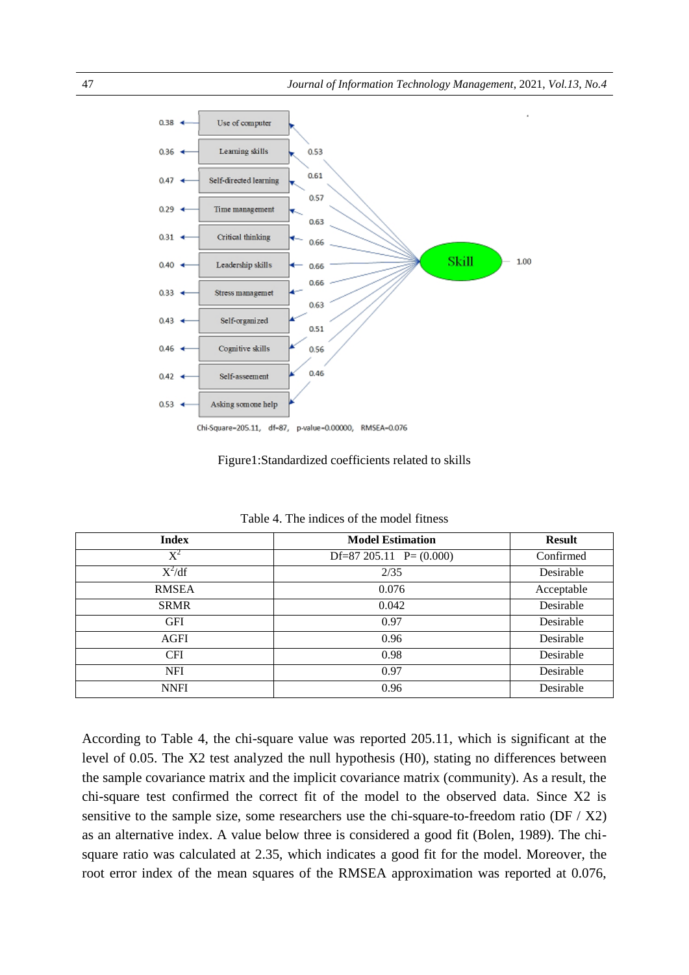

Figure1:Standardized coefficients related to skills

| <b>Index</b>   | <b>Model Estimation</b>    | <b>Result</b> |
|----------------|----------------------------|---------------|
| $\mathrm{X}^2$ | Df=87 205.11 $P = (0.000)$ | Confirmed     |
| $X^2/df$       | 2/35                       | Desirable     |
| <b>RMSEA</b>   | 0.076                      | Acceptable    |
| <b>SRMR</b>    | 0.042                      | Desirable     |
| <b>GFI</b>     | 0.97                       | Desirable     |
| AGFI           | 0.96                       | Desirable     |
| <b>CFI</b>     | 0.98                       | Desirable     |
| <b>NFI</b>     | 0.97                       | Desirable     |
| <b>NNFI</b>    | 0.96                       | Desirable     |

Table 4. The indices of the model fitness

According to Table 4, the chi-square value was reported 205.11, which is significant at the level of 0.05. The X2 test analyzed the null hypothesis (H0), stating no differences between the sample covariance matrix and the implicit covariance matrix (community). As a result, the chi-square test confirmed the correct fit of the model to the observed data. Since X2 is sensitive to the sample size, some researchers use the chi-square-to-freedom ratio (DF / X2) as an alternative index. A value below three is considered a good fit (Bolen, 1989). The chisquare ratio was calculated at 2.35, which indicates a good fit for the model. Moreover, the root error index of the mean squares of the RMSEA approximation was reported at 0.076,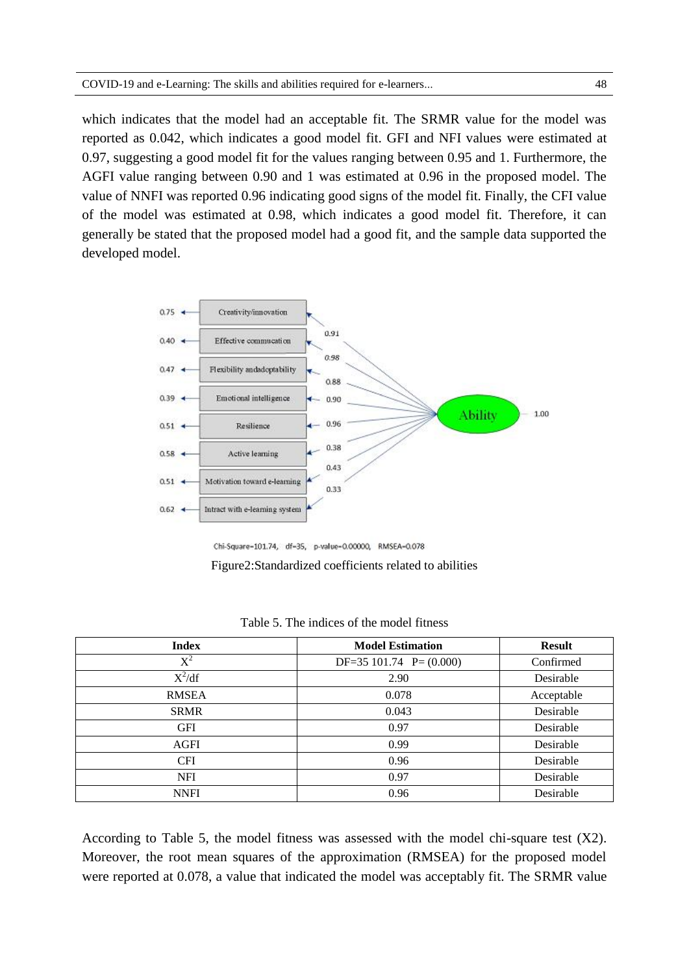which indicates that the model had an acceptable fit. The SRMR value for the model was reported as 0.042, which indicates a good model fit. GFI and NFI values were estimated at 0.97, suggesting a good model fit for the values ranging between 0.95 and 1. Furthermore, the AGFI value ranging between 0.90 and 1 was estimated at 0.96 in the proposed model. The value of NNFI was reported 0.96 indicating good signs of the model fit. Finally, the CFI value of the model was estimated at 0.98, which indicates a good model fit. Therefore, it can generally be stated that the proposed model had a good fit, and the sample data supported the developed model.



Chi-Square-101.74, df-35, p-value-0.00000, RMSEA-0.078

Figure2:Standardized coefficients related to abilities

| <b>Index</b>   | <b>Model Estimation</b>    | <b>Result</b> |
|----------------|----------------------------|---------------|
| $\mathrm{X}^2$ | $DF=35 101.74$ $P=(0.000)$ | Confirmed     |
| $X^2/df$       | 2.90                       | Desirable     |
| <b>RMSEA</b>   | 0.078                      | Acceptable    |
| <b>SRMR</b>    | 0.043                      | Desirable     |
| <b>GFI</b>     | 0.97                       | Desirable     |
| <b>AGFI</b>    | 0.99                       | Desirable     |
| <b>CFI</b>     | 0.96                       | Desirable     |
| <b>NFI</b>     | 0.97                       | Desirable     |
| <b>NNFI</b>    | 0.96                       | Desirable     |

Table 5. The indices of the model fitness

According to Table 5, the model fitness was assessed with the model chi-square test (X2). Moreover, the root mean squares of the approximation (RMSEA) for the proposed model were reported at 0.078, a value that indicated the model was acceptably fit. The SRMR value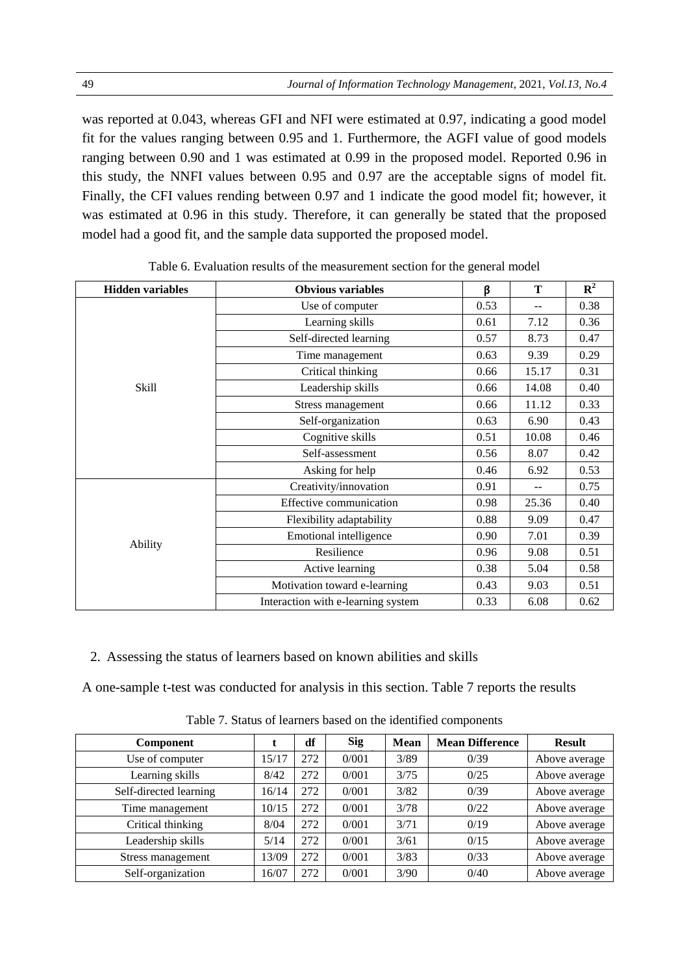was reported at 0.043, whereas GFI and NFI were estimated at 0.97, indicating a good model fit for the values ranging between 0.95 and 1. Furthermore, the AGFI value of good models ranging between 0.90 and 1 was estimated at 0.99 in the proposed model. Reported 0.96 in this study, the NNFI values between 0.95 and 0.97 are the acceptable signs of model fit. Finally, the CFI values rending between 0.97 and 1 indicate the good model fit; however, it was estimated at 0.96 in this study. Therefore, it can generally be stated that the proposed model had a good fit, and the sample data supported the proposed model.

| <b>Hidden variables</b> | <b>Obvious variables</b>           | ß    | T             | ${\bf R}^2$ |
|-------------------------|------------------------------------|------|---------------|-------------|
|                         | Use of computer                    | 0.53 | $-$           | 0.38        |
|                         | Learning skills                    | 0.61 | 7.12          | 0.36        |
|                         | Self-directed learning             | 0.57 | 8.73          | 0.47        |
|                         | Time management                    | 0.63 | 9.39          | 0.29        |
|                         | Critical thinking                  | 0.66 | 15.17         | 0.31        |
| Skill                   | Leadership skills                  | 0.66 | 14.08         | 0.40        |
|                         | Stress management                  | 0.66 | 11.12         | 0.33        |
|                         | Self-organization                  | 0.63 | 6.90          | 0.43        |
|                         | Cognitive skills                   | 0.51 | 10.08         | 0.46        |
|                         | Self-assessment                    | 0.56 | 8.07          | 0.42        |
|                         | Asking for help                    | 0.46 | 6.92          | 0.53        |
|                         | Creativity/innovation              | 0.91 | $\frac{1}{2}$ | 0.75        |
|                         | Effective communication            | 0.98 | 25.36         | 0.40        |
|                         | Flexibility adaptability           | 0.88 | 9.09          | 0.47        |
| Ability                 | Emotional intelligence             | 0.90 | 7.01          | 0.39        |
|                         | Resilience                         | 0.96 | 9.08          | 0.51        |
|                         | Active learning                    | 0.38 | 5.04          | 0.58        |
|                         | Motivation toward e-learning       | 0.43 | 9.03          | 0.51        |
|                         | Interaction with e-learning system | 0.33 | 6.08          | 0.62        |

2. Assessing the status of learners based on known abilities and skills

A one-sample t-test was conducted for analysis in this section. Table 7 reports the results

| Component              |       | df  | <b>Sig</b> | <b>Mean</b> | <b>Mean Difference</b> | <b>Result</b> |
|------------------------|-------|-----|------------|-------------|------------------------|---------------|
| Use of computer        | 15/17 | 272 | 0/001      | 3/89        | 0/39                   | Above average |
| Learning skills        | 8/42  | 272 | 0/001      | 3/75        | 0/25                   | Above average |
| Self-directed learning | 16/14 | 272 | 0/001      | 3/82        | 0/39                   | Above average |
| Time management        | 10/15 | 272 | 0/001      | 3/78        | 0/22                   | Above average |
| Critical thinking      | 8/04  | 272 | 0/001      | 3/71        | 0/19                   | Above average |
| Leadership skills      | 5/14  | 272 | 0/001      | 3/61        | 0/15                   | Above average |
| Stress management      | 13/09 | 272 | 0/001      | 3/83        | 0/33                   | Above average |
| Self-organization      | 16/07 | 272 | 0/001      | 3/90        | 0/40                   | Above average |

Table 7. Status of learners based on the identified components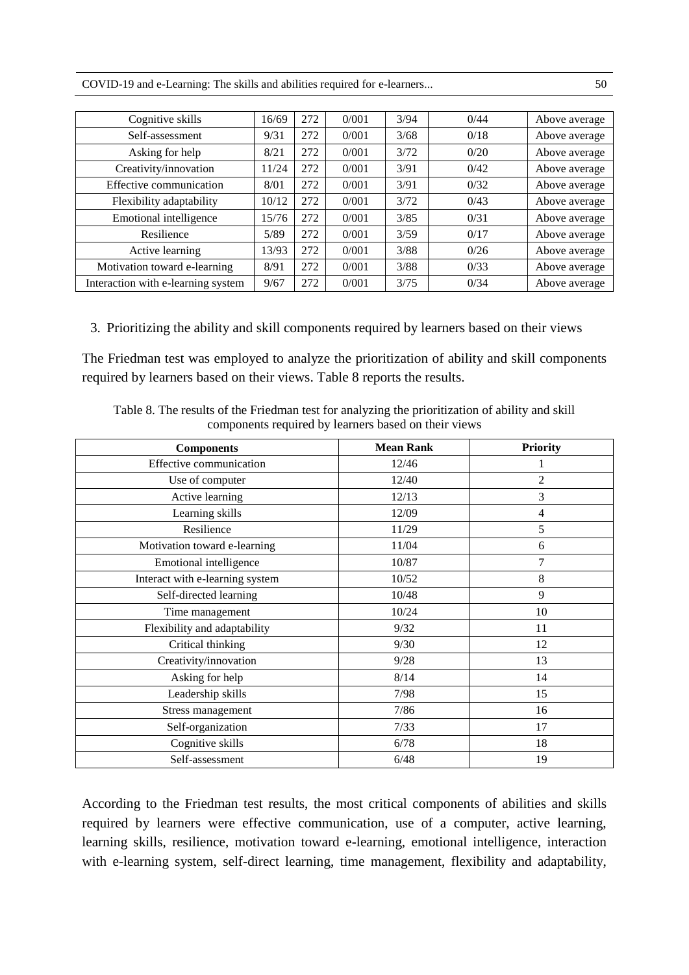COVID-19 and e-Learning: The skills and abilities required for e-learners... 50

| Cognitive skills                   | 16/69 | 272 | 0/001 | 3/94 | 0/44 | Above average |
|------------------------------------|-------|-----|-------|------|------|---------------|
| Self-assessment                    | 9/31  | 272 | 0/001 | 3/68 | 0/18 | Above average |
| Asking for help                    | 8/21  | 272 | 0/001 | 3/72 | 0/20 | Above average |
| Creativity/innovation              | 11/24 | 272 | 0/001 | 3/91 | 0/42 | Above average |
| Effective communication            | 8/01  | 272 | 0/001 | 3/91 | 0/32 | Above average |
| Flexibility adaptability           | 10/12 | 272 | 0/001 | 3/72 | 0/43 | Above average |
| Emotional intelligence             | 15/76 | 272 | 0/001 | 3/85 | 0/31 | Above average |
| Resilience                         | 5/89  | 272 | 0/001 | 3/59 | 0/17 | Above average |
| Active learning                    | 13/93 | 272 | 0/001 | 3/88 | 0/26 | Above average |
| Motivation toward e-learning       | 8/91  | 272 | 0/001 | 3/88 | 0/33 | Above average |
| Interaction with e-learning system | 9/67  | 272 | 0/001 | 3/75 | 0/34 | Above average |

3. Prioritizing the ability and skill components required by learners based on their views

The Friedman test was employed to analyze the prioritization of ability and skill components required by learners based on their views. Table 8 reports the results.

| Table 8. The results of the Friedman test for analyzing the prioritization of ability and skill |  |
|-------------------------------------------------------------------------------------------------|--|
| components required by learners based on their views                                            |  |

| <b>Components</b>               | <b>Mean Rank</b> | <b>Priority</b> |
|---------------------------------|------------------|-----------------|
| Effective communication         | 12/46            |                 |
| Use of computer                 | 12/40            | $\overline{2}$  |
| Active learning                 | 12/13            | 3               |
| Learning skills                 | 12/09            | $\overline{4}$  |
| Resilience                      | 11/29            | 5               |
| Motivation toward e-learning    | 11/04            | 6               |
| Emotional intelligence          | 10/87            | 7               |
| Interact with e-learning system | 10/52            | 8               |
| Self-directed learning          | 10/48            | 9               |
| Time management                 | 10/24            | 10              |
| Flexibility and adaptability    | 9/32             | 11              |
| Critical thinking               | 9/30             | 12              |
| Creativity/innovation           | 9/28             | 13              |
| Asking for help                 | 8/14             | 14              |
| Leadership skills               | 7/98             | 15              |
| Stress management               | 7/86             | 16              |
| Self-organization               | 7/33             | 17              |
| Cognitive skills                | 6/78             | 18              |
| Self-assessment                 | 6/48             | 19              |

According to the Friedman test results, the most critical components of abilities and skills required by learners were effective communication, use of a computer, active learning, learning skills, resilience, motivation toward e-learning, emotional intelligence, interaction with e-learning system, self-direct learning, time management, flexibility and adaptability,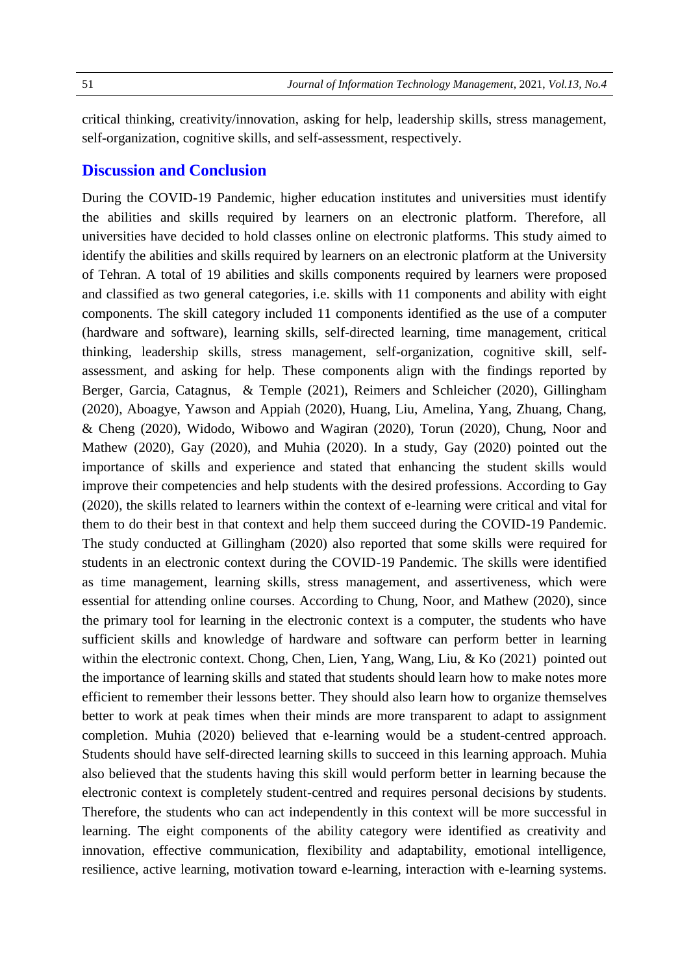critical thinking, creativity/innovation, asking for help, leadership skills, stress management, self-organization, cognitive skills, and self-assessment, respectively.

### **Discussion and Conclusion**

During the COVID-19 Pandemic, higher education institutes and universities must identify the abilities and skills required by learners on an electronic platform. Therefore, all universities have decided to hold classes online on electronic platforms. This study aimed to identify the abilities and skills required by learners on an electronic platform at the University of Tehran. A total of 19 abilities and skills components required by learners were proposed and classified as two general categories, i.e. skills with 11 components and ability with eight components. The skill category included 11 components identified as the use of a computer (hardware and software), learning skills, self-directed learning, time management, critical thinking, leadership skills, stress management, self-organization, cognitive skill, selfassessment, and asking for help. These components align with the findings reported by Berger, Garcia, Catagnus, & Temple (2021), Reimers and Schleicher (2020), Gillingham (2020), Aboagye, Yawson and Appiah (2020), Huang, Liu, Amelina, Yang, Zhuang, Chang, & Cheng (2020), Widodo, Wibowo and Wagiran (2020), Torun (2020), Chung, Noor and Mathew (2020), Gay (2020), and Muhia (2020). In a study, Gay (2020) pointed out the importance of skills and experience and stated that enhancing the student skills would improve their competencies and help students with the desired professions. According to Gay (2020), the skills related to learners within the context of e-learning were critical and vital for them to do their best in that context and help them succeed during the COVID-19 Pandemic. The study conducted at Gillingham (2020) also reported that some skills were required for students in an electronic context during the COVID-19 Pandemic. The skills were identified as time management, learning skills, stress management, and assertiveness, which were essential for attending online courses. According to Chung, Noor, and Mathew (2020), since the primary tool for learning in the electronic context is a computer, the students who have sufficient skills and knowledge of hardware and software can perform better in learning within the electronic context. Chong, Chen, Lien, Yang, Wang, Liu, & Ko (2021) pointed out the importance of learning skills and stated that students should learn how to make notes more efficient to remember their lessons better. They should also learn how to organize themselves better to work at peak times when their minds are more transparent to adapt to assignment completion. Muhia (2020) believed that e-learning would be a student-centred approach. Students should have self-directed learning skills to succeed in this learning approach. Muhia also believed that the students having this skill would perform better in learning because the electronic context is completely student-centred and requires personal decisions by students. Therefore, the students who can act independently in this context will be more successful in learning. The eight components of the ability category were identified as creativity and innovation, effective communication, flexibility and adaptability, emotional intelligence, resilience, active learning, motivation toward e-learning, interaction with e-learning systems.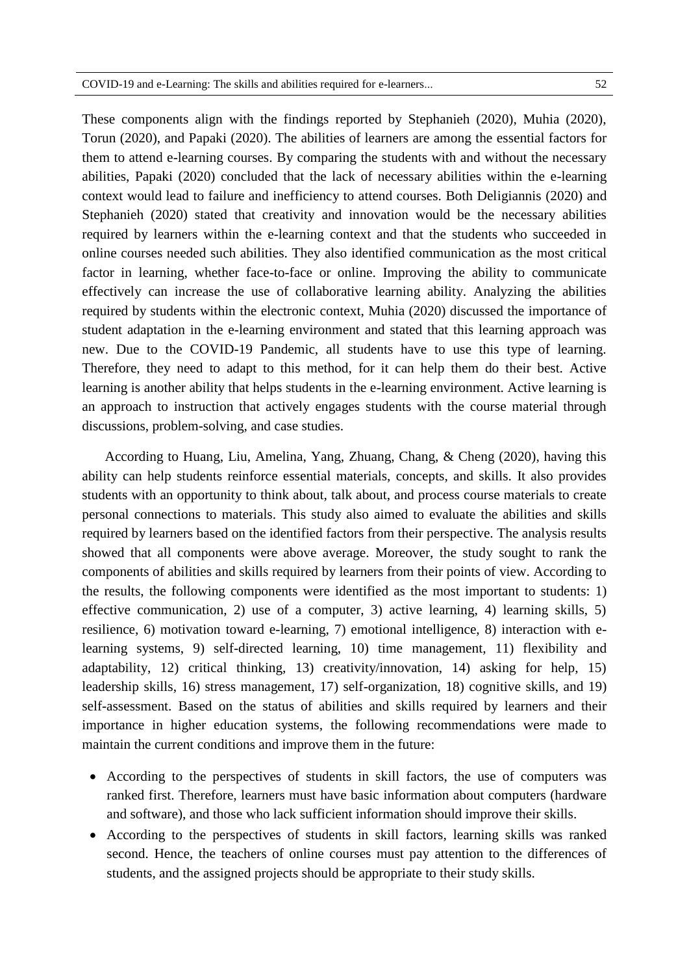discussions, problem-solving, and case studies.

These components align with the findings reported by Stephanieh (2020), Muhia (2020), Torun (2020), and Papaki (2020). The abilities of learners are among the essential factors for them to attend e-learning courses. By comparing the students with and without the necessary abilities, Papaki (2020) concluded that the lack of necessary abilities within the e-learning context would lead to failure and inefficiency to attend courses. Both Deligiannis (2020) and Stephanieh (2020) stated that creativity and innovation would be the necessary abilities required by learners within the e-learning context and that the students who succeeded in online courses needed such abilities. They also identified communication as the most critical factor in learning, whether face-to-face or online. Improving the ability to communicate effectively can increase the use of collaborative learning ability. Analyzing the abilities required by students within the electronic context, Muhia (2020) discussed the importance of student adaptation in the e-learning environment and stated that this learning approach was new. Due to the COVID-19 Pandemic, all students have to use this type of learning. Therefore, they need to adapt to this method, for it can help them do their best. Active learning is another ability that helps students in the e-learning environment. Active learning is an approach to instruction that actively engages students with the course material through

According to Huang, Liu, Amelina, Yang, Zhuang, Chang, & Cheng (2020), having this ability can help students reinforce essential materials, concepts, and skills. It also provides students with an opportunity to think about, talk about, and process course materials to create personal connections to materials. This study also aimed to evaluate the abilities and skills required by learners based on the identified factors from their perspective. The analysis results showed that all components were above average. Moreover, the study sought to rank the components of abilities and skills required by learners from their points of view. According to the results, the following components were identified as the most important to students: 1) effective communication, 2) use of a computer, 3) active learning, 4) learning skills, 5) resilience, 6) motivation toward e-learning, 7) emotional intelligence, 8) interaction with elearning systems, 9) self-directed learning, 10) time management, 11) flexibility and adaptability, 12) critical thinking, 13) creativity/innovation, 14) asking for help, 15) leadership skills, 16) stress management, 17) self-organization, 18) cognitive skills, and 19) self-assessment. Based on the status of abilities and skills required by learners and their importance in higher education systems, the following recommendations were made to maintain the current conditions and improve them in the future:

- According to the perspectives of students in skill factors, the use of computers was ranked first. Therefore, learners must have basic information about computers (hardware and software), and those who lack sufficient information should improve their skills.
- According to the perspectives of students in skill factors, learning skills was ranked second. Hence, the teachers of online courses must pay attention to the differences of students, and the assigned projects should be appropriate to their study skills.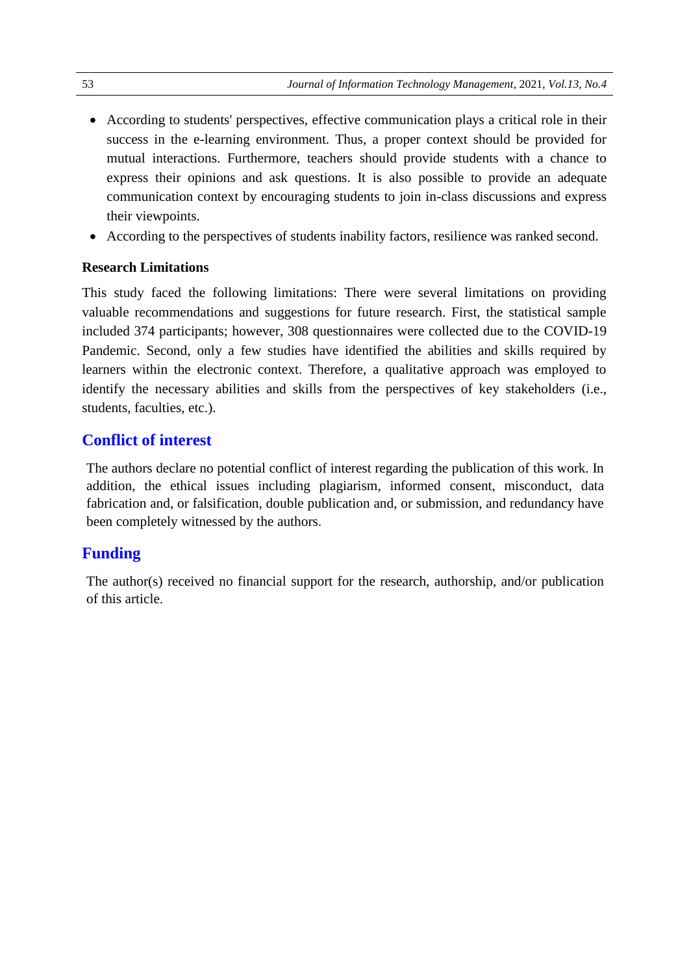- According to students' perspectives, effective communication plays a critical role in their success in the e-learning environment. Thus, a proper context should be provided for mutual interactions. Furthermore, teachers should provide students with a chance to express their opinions and ask questions. It is also possible to provide an adequate communication context by encouraging students to join in-class discussions and express their viewpoints.
- According to the perspectives of students inability factors, resilience was ranked second.

#### **Research Limitations**

This study faced the following limitations: There were several limitations on providing valuable recommendations and suggestions for future research. First, the statistical sample included 374 participants; however, 308 questionnaires were collected due to the COVID-19 Pandemic. Second, only a few studies have identified the abilities and skills required by learners within the electronic context. Therefore, a qualitative approach was employed to identify the necessary abilities and skills from the perspectives of key stakeholders (i.e., students, faculties, etc.).

## **Conflict of interest**

The authors declare no potential conflict of interest regarding the publication of this work. In addition, the ethical issues including plagiarism, informed consent, misconduct, data fabrication and, or falsification, double publication and, or submission, and redundancy have been completely witnessed by the authors.

## **Funding**

The author(s) received no financial support for the research, authorship, and/or publication of this article.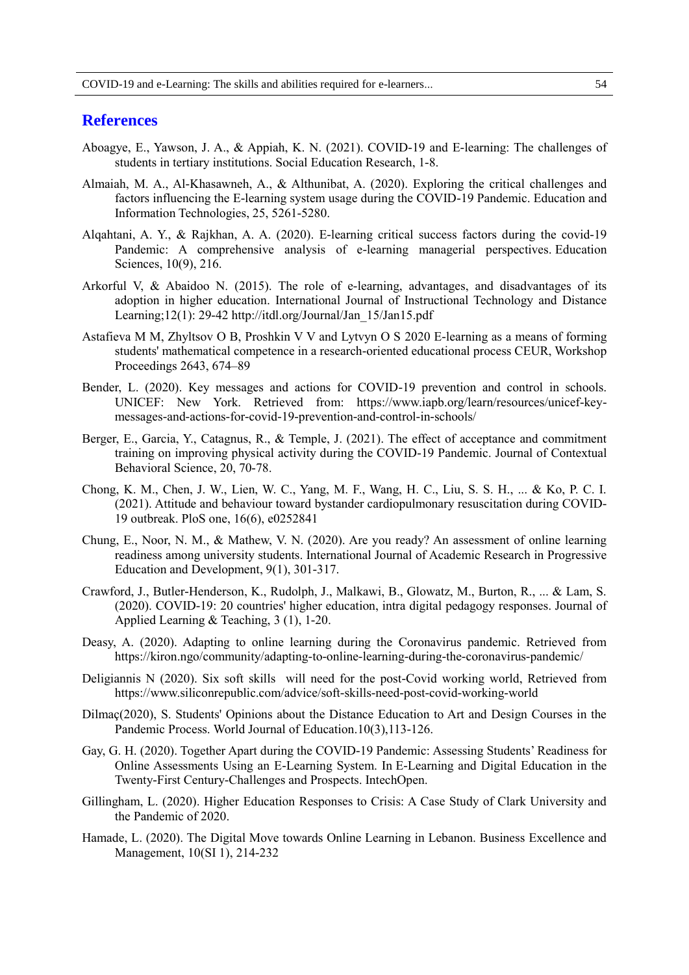#### **References**

- Aboagye, E., Yawson, J. A., & Appiah, K. N. (2021). COVID-19 and E-learning: The challenges of students in tertiary institutions. Social Education Research, 1-8.
- Almaiah, M. A., Al-Khasawneh, A., & Althunibat, A. (2020). Exploring the critical challenges and factors influencing the E-learning system usage during the COVID-19 Pandemic. Education and Information Technologies, 25, 5261-5280.
- Alqahtani, A. Y., & Rajkhan, A. A. (2020). E-learning critical success factors during the covid-19 Pandemic: A comprehensive analysis of e-learning managerial perspectives. Education Sciences, 10(9), 216.
- Arkorful V, & Abaidoo N. (2015). The role of e-learning, advantages, and disadvantages of its adoption in higher education. International Journal of Instructional Technology and Distance Learning;12(1): 29-42 http://itdl.org/Journal/Jan\_15/Jan15.pdf
- Astafieva M M, Zhyltsov O B, Proshkin V V and Lytvyn O S 2020 E-learning as a means of forming students' mathematical competence in a research-oriented educational process CEUR, Workshop Proceedings 2643, 674–89
- Bender, L. (2020). Key messages and actions for COVID-19 prevention and control in schools. UNICEF: New York. Retrieved from: https://www.iapb.org/learn/resources/unicef-keymessages-and-actions-for-covid-19-prevention-and-control-in-schools/
- Berger, E., Garcia, Y., Catagnus, R., & Temple, J. (2021). The effect of acceptance and commitment training on improving physical activity during the COVID-19 Pandemic. Journal of Contextual Behavioral Science, 20, 70-78.
- Chong, K. M., Chen, J. W., Lien, W. C., Yang, M. F., Wang, H. C., Liu, S. S. H., ... & Ko, P. C. I. (2021). Attitude and behaviour toward bystander cardiopulmonary resuscitation during COVID-19 outbreak. PloS one, 16(6), e0252841
- Chung, E., Noor, N. M., & Mathew, V. N. (2020). Are you ready? An assessment of online learning readiness among university students. International Journal of Academic Research in Progressive Education and Development, 9(1), 301-317.
- Crawford, J., Butler-Henderson, K., Rudolph, J., Malkawi, B., Glowatz, M., Burton, R., ... & Lam, S. (2020). COVID-19: 20 countries' higher education, intra digital pedagogy responses. Journal of Applied Learning & Teaching, 3 (1), 1-20.
- Deasy, A. (2020). Adapting to online learning during the Coronavirus pandemic. Retrieved from https://kiron.ngo/community/adapting-to-online-learning-during-the-coronavirus-pandemic/
- Deligiannis N (2020). Six soft skills will need for the post-Covid working world, Retrieved from https://www.siliconrepublic.com/advice/soft-skills-need-post-covid-working-world
- Dilmaç(2020), S. Students' Opinions about the Distance Education to Art and Design Courses in the Pandemic Process. World Journal of Education.10(3),113-126.
- Gay, G. H. (2020). Together Apart during the COVID-19 Pandemic: Assessing Students' Readiness for Online Assessments Using an E-Learning System. In E-Learning and Digital Education in the Twenty-First Century-Challenges and Prospects. IntechOpen.
- Gillingham, L. (2020). Higher Education Responses to Crisis: A Case Study of Clark University and the Pandemic of 2020.
- Hamade, L. (2020). The Digital Move towards Online Learning in Lebanon. Business Excellence and Management, 10(SI 1), 214-232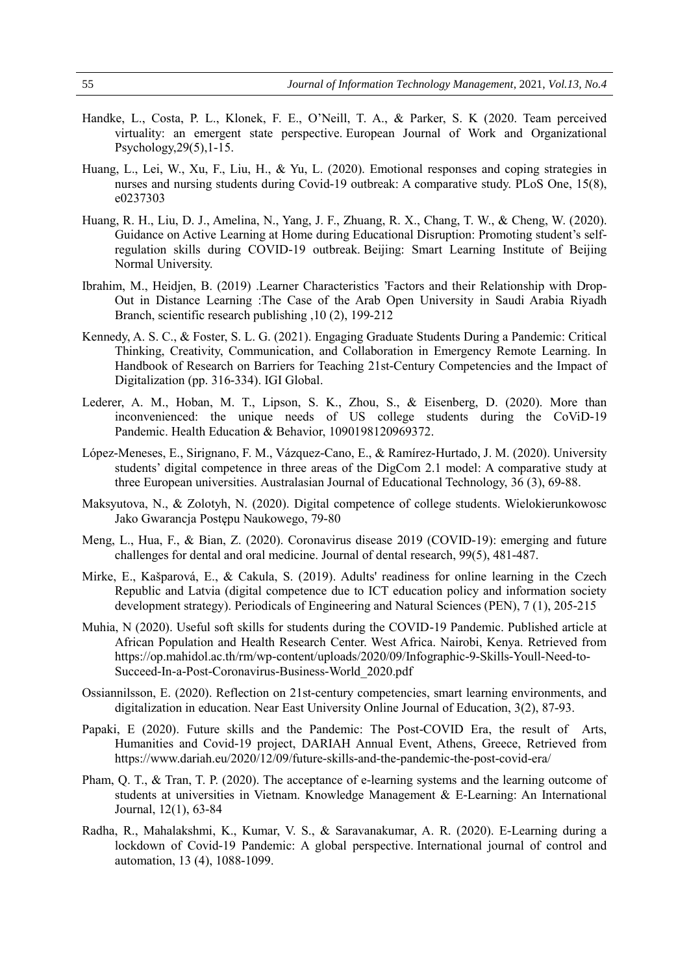- Handke, L., Costa, P. L., Klonek, F. E., O'Neill, T. A., & Parker, S. K (2020. Team perceived virtuality: an emergent state perspective. European Journal of Work and Organizational Psychology,29(5),1-15.
- Huang, L., Lei, W., Xu, F., Liu, H., & Yu, L. (2020). Emotional responses and coping strategies in nurses and nursing students during Covid-19 outbreak: A comparative study. PLoS One, 15(8), e0237303
- Huang, R. H., Liu, D. J., Amelina, N., Yang, J. F., Zhuang, R. X., Chang, T. W., & Cheng, W. (2020). Guidance on Active Learning at Home during Educational Disruption: Promoting student's selfregulation skills during COVID-19 outbreak. Beijing: Smart Learning Institute of Beijing Normal University.
- Ibrahim, M., Heidjen, B. (2019) .Learner Characteristics 'Factors and their Relationship with Drop-Out in Distance Learning :The Case of the Arab Open University in Saudi Arabia Riyadh Branch, scientific research publishing ,10 (2), 199-212
- Kennedy, A. S. C., & Foster, S. L. G. (2021). Engaging Graduate Students During a Pandemic: Critical Thinking, Creativity, Communication, and Collaboration in Emergency Remote Learning. In Handbook of Research on Barriers for Teaching 21st-Century Competencies and the Impact of Digitalization (pp. 316-334). IGI Global.
- Lederer, A. M., Hoban, M. T., Lipson, S. K., Zhou, S., & Eisenberg, D. (2020). More than inconvenienced: the unique needs of US college students during the CoViD-19 Pandemic. Health Education & Behavior, 1090198120969372.
- López-Meneses, E., Sirignano, F. M., Vázquez-Cano, E., & Ramírez-Hurtado, J. M. (2020). University students' digital competence in three areas of the DigCom 2.1 model: A comparative study at three European universities. Australasian Journal of Educational Technology, 36 (3), 69-88.
- Maksyutova, N., & Zolotyh, N. (2020). Digital competence of college students. Wielokierunkowosc Jako Gwarancja Postępu Naukowego, 79-80
- Meng, L., Hua, F., & Bian, Z. (2020). Coronavirus disease 2019 (COVID-19): emerging and future challenges for dental and oral medicine. Journal of dental research, 99(5), 481-487.
- Mirke, E., Kašparová, E., & Cakula, S. (2019). Adults' readiness for online learning in the Czech Republic and Latvia (digital competence due to ICT education policy and information society development strategy). Periodicals of Engineering and Natural Sciences (PEN), 7 (1), 205-215
- Muhia, N (2020). Useful soft skills for students during the COVID-19 Pandemic. Published article at African Population and Health Research Center. West Africa. Nairobi, Kenya. Retrieved from https://op.mahidol.ac.th/rm/wp-content/uploads/2020/09/Infographic-9-Skills-Youll-Need-to-Succeed-In-a-Post-Coronavirus-Business-World\_2020.pdf
- Ossiannilsson, E. (2020). Reflection on 21st-century competencies, smart learning environments, and digitalization in education. Near East University Online Journal of Education, 3(2), 87-93.
- Papaki, E (2020). Future skills and the Pandemic: The Post-COVID Era, the result of Arts, Humanities and Covid-19 project, DARIAH Annual Event, Athens, Greece, Retrieved from https://www.dariah.eu/2020/12/09/future-skills-and-the-pandemic-the-post-covid-era/
- Pham, Q. T., & Tran, T. P. (2020). The acceptance of e-learning systems and the learning outcome of students at universities in Vietnam. Knowledge Management & E-Learning: An International Journal, 12(1), 63-84
- Radha, R., Mahalakshmi, K., Kumar, V. S., & Saravanakumar, A. R. (2020). E-Learning during a lockdown of Covid-19 Pandemic: A global perspective. International journal of control and automation, 13 (4), 1088-1099.